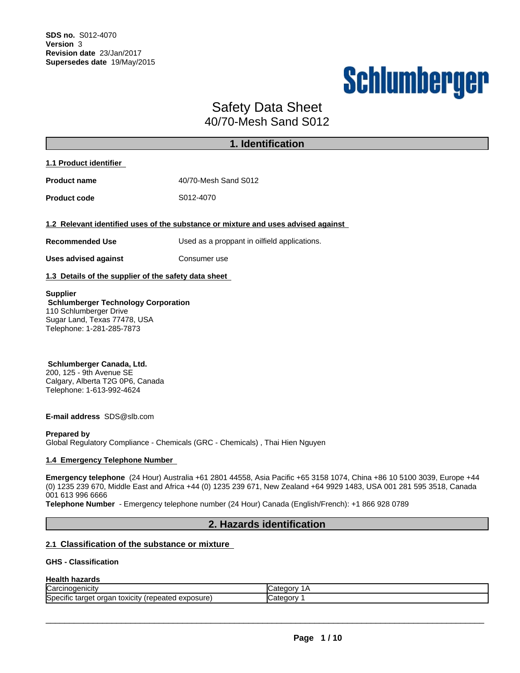# Schlumberger

## Safety Data Sheet 40/70-Mesh Sand S012

|                                                                                                                                                      | 1. Identification                                                                 |
|------------------------------------------------------------------------------------------------------------------------------------------------------|-----------------------------------------------------------------------------------|
| 1.1 Product identifier                                                                                                                               |                                                                                   |
| <b>Product name</b>                                                                                                                                  | 40/70-Mesh Sand S012                                                              |
| <b>Product code</b>                                                                                                                                  | S012-4070                                                                         |
|                                                                                                                                                      | 1.2 Relevant identified uses of the substance or mixture and uses advised against |
| <b>Recommended Use</b>                                                                                                                               | Used as a proppant in oilfield applications.                                      |
| <b>Uses advised against</b>                                                                                                                          | Consumer use                                                                      |
| 1.3 Details of the supplier of the safety data sheet                                                                                                 |                                                                                   |
| <b>Supplier</b><br><b>Schlumberger Technology Corporation</b><br>110 Schlumberger Drive<br>Sugar Land, Texas 77478, USA<br>Telephone: 1-281-285-7873 |                                                                                   |
| Schlumherger Canada Ltd                                                                                                                              |                                                                                   |

**Schlumberger Canada, Ltd.** 200, 125 - 9th Avenue SE Calgary, Alberta T2G 0P6, Canada Telephone: 1-613-992-4624

**E-mail address** SDS@slb.com

#### **Prepared by**

Global Regulatory Compliance - Chemicals (GRC - Chemicals) , Thai Hien Nguyen

#### **1.4 Emergency Telephone Number**

**Emergency telephone** (24 Hour) Australia +61 2801 44558, Asia Pacific +65 3158 1074, China +86 10 5100 3039, Europe +44 (0) 1235 239 670, Middle East and Africa +44 (0) 1235 239 671, New Zealand +64 9929 1483,USA 001 281 595 3518, Canada 001 613 996 6666

**Telephone Number** - Emergency telephone number (24 Hour) Canada (English/French): +1 866 928 0789

## **2. Hazards identification**

## **2.1 Classification of the substance or mixture**

#### **GHS - Classification**

## **Health hazards**

| ∽                                                                                                                              | Cate      |
|--------------------------------------------------------------------------------------------------------------------------------|-----------|
| Carcinogenicity                                                                                                                | .GOOL.    |
| $\cdots$<br>exposure<br>.<br>.<br><b>ISDECITIC</b><br>.<br>S <sub>2</sub><br>epeated<br><b>TOXICITY</b><br>лет<br>organ<br>τаг | ⊶ategory. |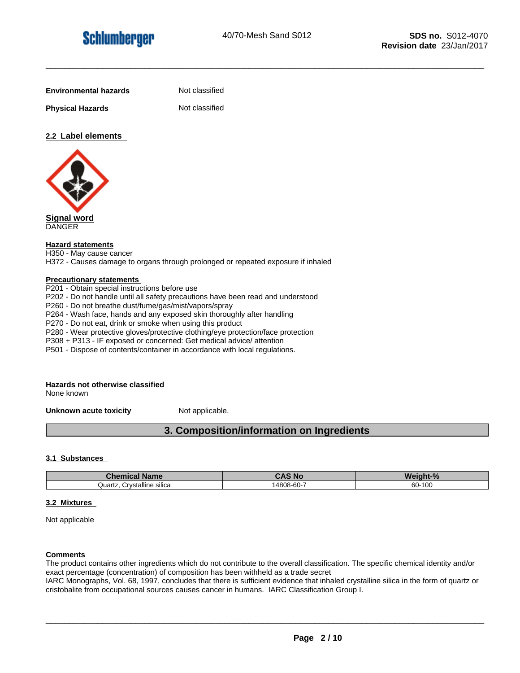**Physical Hazards** Not classified

**Not classified** 

## **2.2 Label elements**



**Signal word** DANGER

#### **Hazard statements**

H350 - May cause cancer

H372 - Causes damage to organs through prolonged or repeated exposure if inhaled

#### **Precautionary statements**

P201 - Obtain special instructions before use P202 - Do not handle until all safety precautions have been read and understood P260 - Do not breathe dust/fume/gas/mist/vapors/spray P264 - Wash face, hands and any exposed skin thoroughly after handling P270 - Do not eat, drink or smoke when using this product P280 - Wear protective gloves/protective clothing/eye protection/face protection P308 + P313 - IF exposed or concerned: Get medical advice/ attention P501 - Dispose of contents/container in accordance with local regulations.

## **Hazards not otherwise classified**

None known

**Unknown acute toxicity** Not applicable.

## **3. Composition/information on Ingredients**

#### **3.1 Substances**

| <b>Chemical Name</b>            | <b>CAS No</b> | Weight-% |
|---------------------------------|---------------|----------|
| . Crvstalline silica<br>Quartz. | 14808-60-7    | 60-100   |

#### **3.2 Mixtures**

Not applicable

#### **Comments**

The product contains other ingredients which do not contribute to the overall classification. The specific chemical identity and/or exact percentage (concentration) of composition has been withheld as a trade secret

IARC Monographs, Vol. 68, 1997, concludes that there is sufficient evidence that inhaled crystalline silica in the form of quartz or cristobalite from occupational sources causes cancer in humans. IARC Classification Group I.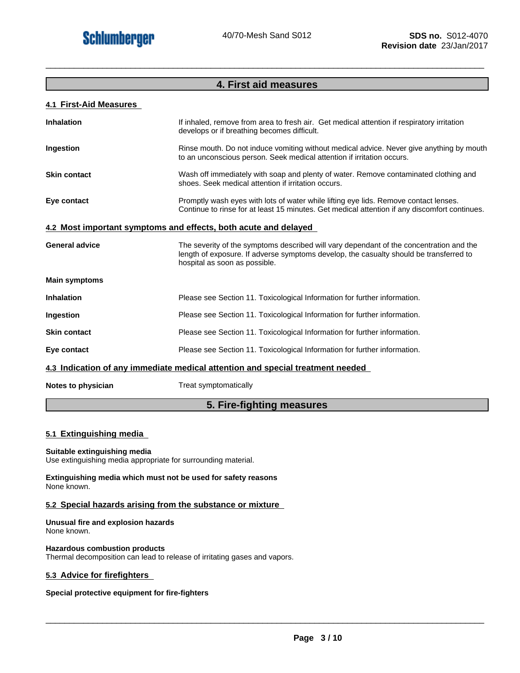## **4. First aid measures**

\_\_\_\_\_\_\_\_\_\_\_\_\_\_\_\_\_\_\_\_\_\_\_\_\_\_\_\_\_\_\_\_\_\_\_\_\_\_\_\_\_\_\_\_\_\_\_\_\_\_\_\_\_\_\_\_\_\_\_\_\_\_\_\_\_\_\_\_\_\_\_\_\_\_\_\_\_\_\_\_\_\_\_\_\_\_\_\_\_\_\_\_\_

## **4.1 First-Aid Measures**

| <b>Inhalation</b>     | If inhaled, remove from area to fresh air. Get medical attention if respiratory irritation<br>develops or if breathing becomes difficult.                                                                          |
|-----------------------|--------------------------------------------------------------------------------------------------------------------------------------------------------------------------------------------------------------------|
| Ingestion             | Rinse mouth. Do not induce vomiting without medical advice. Never give anything by mouth<br>to an unconscious person. Seek medical attention if irritation occurs.                                                 |
| <b>Skin contact</b>   | Wash off immediately with soap and plenty of water. Remove contaminated clothing and<br>shoes. Seek medical attention if irritation occurs.                                                                        |
| Eye contact           | Promptly wash eyes with lots of water while lifting eye lids. Remove contact lenses.<br>Continue to rinse for at least 15 minutes. Get medical attention if any discomfort continues.                              |
|                       | 4.2 Most important symptoms and effects, both acute and delayed                                                                                                                                                    |
| <b>General advice</b> | The severity of the symptoms described will vary dependant of the concentration and the<br>length of exposure. If adverse symptoms develop, the casualty should be transferred to<br>hospital as soon as possible. |
| <b>Main symptoms</b>  |                                                                                                                                                                                                                    |
| <b>Inhalation</b>     | Please see Section 11. Toxicological Information for further information.                                                                                                                                          |
| Ingestion             | Please see Section 11. Toxicological Information for further information.                                                                                                                                          |
| <b>Skin contact</b>   | Please see Section 11. Toxicological Information for further information.                                                                                                                                          |
| Eye contact           | Please see Section 11. Toxicological Information for further information.                                                                                                                                          |
|                       | 4.3 Indication of any immediate medical attention and special treatment needed                                                                                                                                     |
|                       |                                                                                                                                                                                                                    |

**Notes to physician** Treat symptomatically

## **5. Fire-fighting measures**

#### **5.1 Extinguishing media**

#### **Suitable extinguishing media**

Use extinguishing media appropriate for surrounding material.

**Extinguishing media which must not be used for safety reasons** None known.

#### **5.2 Special hazards arising from the substance or mixture**

**Unusual fire and explosion hazards** None known.

**Hazardous combustion products**

Thermal decomposition can lead to release of irritating gases and vapors.

#### **5.3 Advice for firefighters**

#### **Special protective equipment for fire-fighters**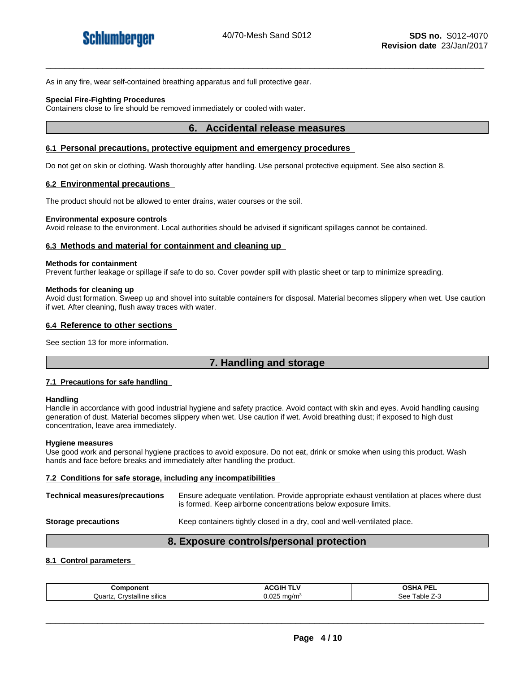As in any fire, wear self-contained breathing apparatus and full protective gear.

#### **Special Fire-Fighting Procedures**

Containers close to fire should be removed immediately or cooled with water.

#### **6. Accidental release measures**

#### **6.1 Personal precautions, protective equipment and emergency procedures**

Do not get on skin or clothing. Wash thoroughly after handling. Use personal protective equipment. See also section 8.

#### **6.2 Environmental precautions**

The product should not be allowed to enter drains, water courses or the soil.

#### **Environmental exposure controls**

Avoid release to the environment. Local authorities should be advised if significant spillages cannot be contained.

#### **6.3 Methods and material for containment and cleaning up**

#### **Methods for containment**

Prevent further leakage or spillage if safe to do so. Cover powder spill with plastic sheet or tarp to minimize spreading.

#### **Methods for cleaning up**

Avoid dust formation. Sweep up and shovel into suitable containers for disposal. Material becomes slippery when wet. Use caution if wet. After cleaning, flush away traces with water.

#### **6.4 Reference to other sections**

See section 13 for more information.

## **7. Handling and storage**

#### **7.1 Precautions for safe handling**

#### **Handling**

Handle in accordance with good industrial hygiene and safety practice. Avoid contact with skin and eyes. Avoid handling causing generation of dust. Material becomes slippery when wet. Use caution if wet. Avoid breathing dust; if exposed to high dust concentration, leave area immediately.

#### **Hygiene measures**

Use good work and personal hygiene practices to avoid exposure. Do not eat, drink or smoke when using this product. Wash hands and face before breaks and immediately after handling the product.

#### **7.2 Conditions for safe storage, including any incompatibilities**

**Technical measures/precautions** Ensure adequate ventilation. Provide appropriate exhaust ventilation at places where dust is formed. Keep airborne concentrations below exposure limits. **Storage precautions** Keep containers tightly closed in a dry, cool and well-ventilated place.

## **8. Exposure controls/personal protection**

#### **8.1 Control parameters**

| Component                           | ACGIH TLV                                 | <b>OSHA PE</b><br>. |
|-------------------------------------|-------------------------------------------|---------------------|
| <br>Crystalline<br>sılıca<br>Quartz | $\sim$<br>ma/m <sup>3</sup><br>J.UZ*<br>້ | +able ∠∹<br>See     |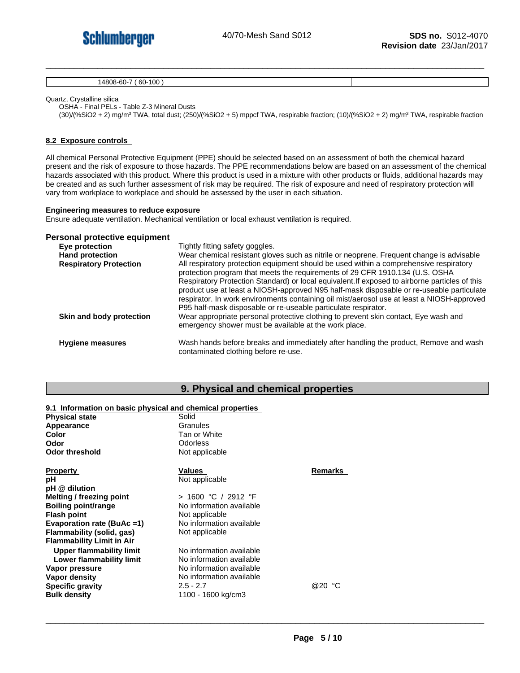

14808-60-7 ( 60-100 )

Quartz, Crystalline silica

OSHA - Final PELs - Table Z-3 Mineral Dusts

(30)/(%SiO2 + 2) mg/m<sup>3</sup> TWA, total dust; (250)/(%SiO2 + 5) mppcf TWA, respirable fraction; (10)/(%SiO2 + 2) mg/m<sup>3</sup> TWA, respirable fraction

#### **8.2 Exposure controls**

All chemical Personal Protective Equipment (PPE) should be selected based on an assessment of both the chemical hazard present and the risk of exposure to those hazards. The PPE recommendations below are based on an assessment of the chemical hazards associated with this product. Where this product is used in a mixture with other products or fluids, additional hazards may be created and as such further assessment of risk may be required. The risk of exposure and need of respiratory protection will vary from workplace to workplace and should be assessed by the user in each situation.

#### **Engineering measures to reduce exposure**

Ensure adequate ventilation. Mechanical ventilation or local exhaust ventilation is required.

#### **Personal protective equipment**

| Eye protection                | Tightly fitting safety goggles.                                                                                                                                                                                                                                                                                                                                                                                                                                                                                                      |
|-------------------------------|--------------------------------------------------------------------------------------------------------------------------------------------------------------------------------------------------------------------------------------------------------------------------------------------------------------------------------------------------------------------------------------------------------------------------------------------------------------------------------------------------------------------------------------|
| <b>Hand protection</b>        | Wear chemical resistant gloves such as nitrile or neoprene. Frequent change is advisable                                                                                                                                                                                                                                                                                                                                                                                                                                             |
| <b>Respiratory Protection</b> | All respiratory protection equipment should be used within a comprehensive respiratory<br>protection program that meets the requirements of 29 CFR 1910.134 (U.S. OSHA<br>Respiratory Protection Standard) or local equivalent. If exposed to airborne particles of this<br>product use at least a NIOSH-approved N95 half-mask disposable or re-useable particulate<br>respirator. In work environments containing oil mist/aerosol use at least a NIOSH-approved<br>P95 half-mask disposable or re-useable particulate respirator. |
| Skin and body protection      | Wear appropriate personal protective clothing to prevent skin contact, Eye wash and<br>emergency shower must be available at the work place.                                                                                                                                                                                                                                                                                                                                                                                         |
| <b>Hygiene measures</b>       | Wash hands before breaks and immediately after handling the product, Remove and wash<br>contaminated clothing before re-use.                                                                                                                                                                                                                                                                                                                                                                                                         |

#### **9. Physical and chemical properties**

#### **9.1 Information on basic physical and chemical properties**

| <b>Physical state</b>            | Solid                    |         |  |
|----------------------------------|--------------------------|---------|--|
| Appearance                       | Granules                 |         |  |
| Color                            | Tan or White             |         |  |
| Odor                             | Odorless                 |         |  |
| <b>Odor threshold</b>            | Not applicable           |         |  |
| <b>Property</b>                  | Values                   | Remarks |  |
| рH                               | Not applicable           |         |  |
| pH @ dilution                    |                          |         |  |
| Melting / freezing point         | > 1600 °C / 2912 °F      |         |  |
| Boiling point/range              | No information available |         |  |
| <b>Flash point</b>               | Not applicable           |         |  |
| Evaporation rate (BuAc =1)       | No information available |         |  |
| Flammability (solid, gas)        | Not applicable           |         |  |
| <b>Flammability Limit in Air</b> |                          |         |  |
| Upper flammability limit         | No information available |         |  |
| Lower flammability limit         | No information available |         |  |
| Vapor pressure                   | No information available |         |  |
| Vapor density                    | No information available |         |  |
| <b>Specific gravity</b>          | $2.5 - 2.7$              | @20 °C  |  |
| <b>Bulk density</b>              | 1100 - 1600 kg/cm3       |         |  |
|                                  |                          |         |  |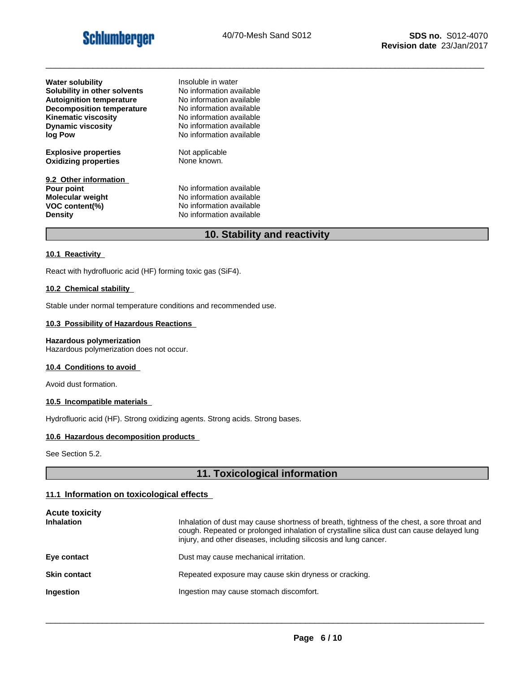## **Schlumberger**

\_\_\_\_\_\_\_\_\_\_\_\_\_\_\_\_\_\_\_\_\_\_\_\_\_\_\_\_\_\_\_\_\_\_\_\_\_\_\_\_\_\_\_\_\_\_\_\_\_\_\_\_\_\_\_\_\_\_\_\_\_\_\_\_\_\_\_\_\_\_\_\_\_\_\_\_\_\_\_\_\_\_\_\_\_\_\_\_\_\_\_\_\_

| <b>Water solubility</b>                                                                            | Insoluble in water                                                                                           |
|----------------------------------------------------------------------------------------------------|--------------------------------------------------------------------------------------------------------------|
| Solubility in other solvents                                                                       | No information available                                                                                     |
| <b>Autoignition temperature</b>                                                                    | No information available                                                                                     |
| <b>Decomposition temperature</b>                                                                   | No information available                                                                                     |
| <b>Kinematic viscosity</b>                                                                         | No information available                                                                                     |
| <b>Dynamic viscosity</b>                                                                           | No information available                                                                                     |
| log Pow                                                                                            | No information available                                                                                     |
| <b>Explosive properties</b>                                                                        | Not applicable                                                                                               |
| <b>Oxidizing properties</b>                                                                        | None known.                                                                                                  |
| 9.2 Other information<br>Pour point<br><b>Molecular weight</b><br>VOC content(%)<br><b>Density</b> | No information available<br>No information available<br>No information available<br>No information available |

## **10. Stability and reactivity**

#### **10.1 Reactivity**

React with hydrofluoric acid (HF) forming toxic gas (SiF4).

## **10.2 Chemical stability**

Stable under normal temperature conditions and recommended use.

#### **10.3 Possibility of Hazardous Reactions**

#### **Hazardous polymerization**

Hazardous polymerization does not occur.

#### **10.4 Conditions to avoid**

Avoid dust formation.

#### **10.5 Incompatible materials**

Hydrofluoric acid (HF). Strong oxidizing agents. Strong acids. Strong bases.

#### **10.6 Hazardous decomposition products**

See Section 5.2.

## **11. Toxicological information**

#### **11.1 Information on toxicological effects**

| <b>Acute toxicity</b><br><b>Inhalation</b> | Inhalation of dust may cause shortness of breath, tightness of the chest, a sore throat and<br>cough. Repeated or prolonged inhalation of crystalline silica dust can cause delayed lung<br>injury, and other diseases, including silicosis and lung cancer. |
|--------------------------------------------|--------------------------------------------------------------------------------------------------------------------------------------------------------------------------------------------------------------------------------------------------------------|
| Eye contact                                | Dust may cause mechanical irritation.                                                                                                                                                                                                                        |
| <b>Skin contact</b>                        | Repeated exposure may cause skin dryness or cracking.                                                                                                                                                                                                        |
| <b>Ingestion</b>                           | Ingestion may cause stomach discomfort.                                                                                                                                                                                                                      |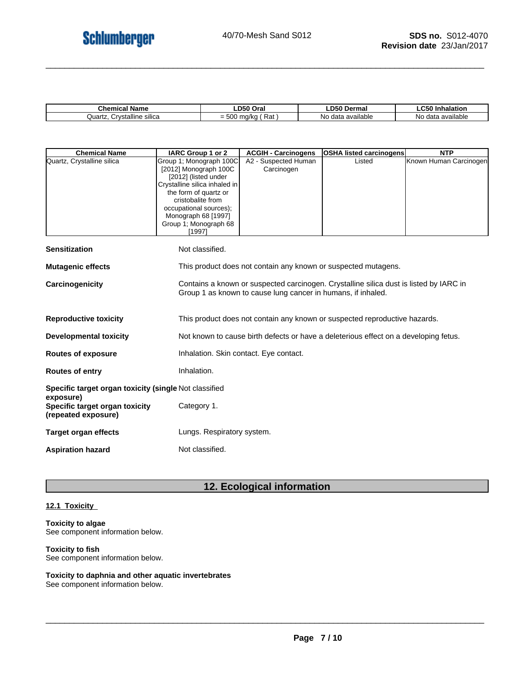| $1$ ham<br><b>\ame</b><br>emical                  | Oral                                                   | ---<br>Dermal                            | mnaiauon<br>.<br>. .                                   |
|---------------------------------------------------|--------------------------------------------------------|------------------------------------------|--------------------------------------------------------|
| $\ddotsc$<br>`rvstalline<br>Quartz<br>sılıca<br>ື | $-02$<br>.<br>1/ka<br>m<br>$ \sim$<br>ن =<br>nai<br>u. | <b>Hable</b><br>ava<br>40.1<br>NΟ<br>۔ ا | available<br>$A^{\sim}$<br>N <sub>C</sub><br>ud<br>. . |

| <b>Chemical Name</b>                                               | IARC Group 1 or 2                                                                                         | <b>ACGIH - Carcinogens</b>                                                           | <b>OSHA listed carcinogens</b>                                                         | <b>NTP</b>             |  |
|--------------------------------------------------------------------|-----------------------------------------------------------------------------------------------------------|--------------------------------------------------------------------------------------|----------------------------------------------------------------------------------------|------------------------|--|
| Quartz, Crystalline silica                                         | Group 1; Monograph 100C<br>[2012] Monograph 100C<br>[2012] (listed under<br>Crystalline silica inhaled in | A2 - Suspected Human<br>Carcinogen                                                   | Listed                                                                                 | Known Human Carcinogen |  |
|                                                                    | the form of quartz or<br>cristobalite from<br>occupational sources);                                      |                                                                                      |                                                                                        |                        |  |
|                                                                    | Monograph 68 [1997]<br>Group 1; Monograph 68<br>[1997]                                                    |                                                                                      |                                                                                        |                        |  |
| <b>Sensitization</b>                                               | Not classified.                                                                                           |                                                                                      |                                                                                        |                        |  |
| <b>Mutagenic effects</b>                                           |                                                                                                           |                                                                                      | This product does not contain any known or suspected mutagens.                         |                        |  |
| Carcinogenicity                                                    |                                                                                                           | Group 1 as known to cause lung cancer in humans, if inhaled.                         | Contains a known or suspected carcinogen. Crystalline silica dust is listed by IARC in |                        |  |
| <b>Reproductive toxicity</b>                                       |                                                                                                           | This product does not contain any known or suspected reproductive hazards.           |                                                                                        |                        |  |
| <b>Developmental toxicity</b>                                      |                                                                                                           | Not known to cause birth defects or have a deleterious effect on a developing fetus. |                                                                                        |                        |  |
| <b>Routes of exposure</b>                                          |                                                                                                           | Inhalation. Skin contact. Eye contact.                                               |                                                                                        |                        |  |
| <b>Routes of entry</b>                                             | Inhalation.                                                                                               |                                                                                      |                                                                                        |                        |  |
| Specific target organ toxicity (single Not classified<br>exposure) |                                                                                                           |                                                                                      |                                                                                        |                        |  |
| Specific target organ toxicity<br>(repeated exposure)              | Category 1.                                                                                               |                                                                                      |                                                                                        |                        |  |
| <b>Target organ effects</b>                                        | Lungs. Respiratory system.                                                                                |                                                                                      |                                                                                        |                        |  |
| <b>Aspiration hazard</b>                                           | Not classified.                                                                                           |                                                                                      |                                                                                        |                        |  |

## **12. Ecological information**

## **12.1 Toxicity**

#### **Toxicity to algae** See component information below.

#### **Toxicity to fish**

See component information below.

## **Toxicity to daphnia and other aquatic invertebrates**

See component information below.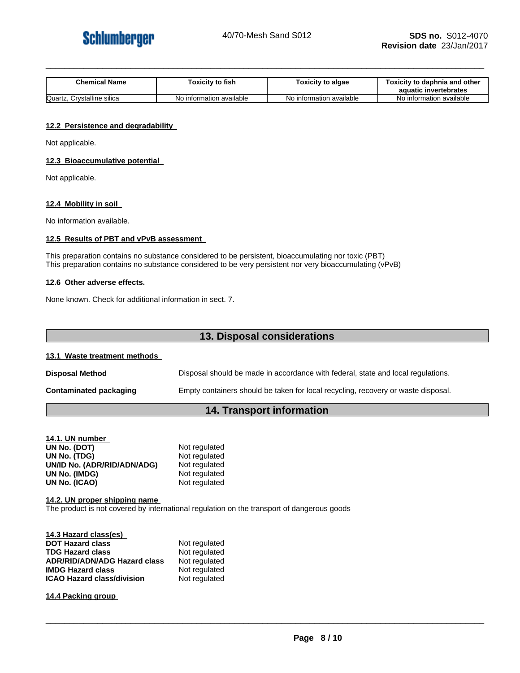

| <b>Chemical Name</b> | $\mathbf{a}$<br>⊺oxicitv to fish | Toxicity to algae     | / to daphnia and other<br><b>Toxicity to</b><br>aquatic invertebrates |
|----------------------|----------------------------------|-----------------------|-----------------------------------------------------------------------|
| Quartz               | information available            | information available | No information available                                              |
| Crystalline silica   | No ir                            | NO.                   |                                                                       |

#### **12.2 Persistence and degradability**

Not applicable.

#### **12.3 Bioaccumulative potential**

Not applicable.

#### **12.4 Mobility in soil**

No information available.

#### **12.5 Results of PBT and vPvB assessment**

This preparation contains no substance considered to be persistent, bioaccumulating nor toxic (PBT) This preparation contains no substance considered to be very persistent nor very bioaccumulating (vPvB)

#### **12.6 Other adverse effects.**

None known. Check for additional information in sect. 7.

## **13. Disposal considerations**

#### **13.1 Waste treatment methods**

| <b>Disposal Method</b>        | Disposal should be made in accordance with federal, state and local regulations.  |
|-------------------------------|-----------------------------------------------------------------------------------|
| <b>Contaminated packaging</b> | Empty containers should be taken for local recycling, recovery or waste disposal. |

## **14. Transport information**

| 14.1. UN number             |               |
|-----------------------------|---------------|
| UN No. (DOT)                | Not regulated |
| UN No. (TDG)                | Not regulated |
| UN/ID No. (ADR/RID/ADN/ADG) | Not regulated |
| UN No. (IMDG)               | Not regulated |
| UN No. (ICAO)               | Not regulated |

**14.2. UN proper shipping name** The product is not covered by international regulation on the transport of dangerous goods

| 14.3 Hazard class(es)               |               |
|-------------------------------------|---------------|
| <b>DOT Hazard class</b>             | Not regulated |
| <b>TDG Hazard class</b>             | Not regulated |
| <b>ADR/RID/ADN/ADG Hazard class</b> | Not regulated |
| <b>IMDG Hazard class</b>            | Not regulated |
| <b>ICAO Hazard class/division</b>   | Not regulated |

**14.4 Packing group**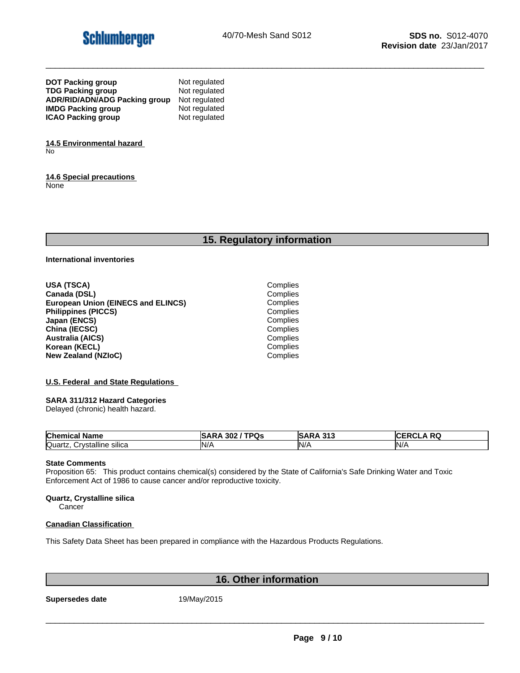

| <b>DOT Packing group</b>      | Not regulated |
|-------------------------------|---------------|
| <b>TDG Packing group</b>      | Not regulated |
| ADR/RID/ADN/ADG Packing group | Not regulated |
| <b>IMDG Packing group</b>     | Not regulated |
| <b>ICAO Packing group</b>     | Not regulated |

**14.5 Environmental hazard** No

**14.6 Special precautions** None

## **15. Regulatory information**

**International inventories**

**USA (TSCA)** Complies **Canada (DSL)** Complies<br> **Complies**<br> **Complies**<br> **Complies European Union (EINECS and ELINCS) Philippines (PICCS)** Complies **Japan (ENCS)** Complies **China (IECSC)** Complies<br> **Australia (AICS)** Complies<br>
Complies **Australia (AICS)** Complies **Korean (KECL)**<br> **New Zealand (NZIoC)**<br> **New Zealand (NZIoC) New Zealand (NZIoC)** 

#### **U.S. Federal and State Regulations**

#### **SARA 311/312 Hazard Categories**

Delayed (chronic) health hazard.

| <b>Chemical</b><br>Name                                  | $I$ TDO<br>302<br>υs<br>.SAF<br>،KP | $\mathbf{A}$ $\mathbf{A}$<br>242<br>וסו<br>.<br>$\sim$ | DC.<br><b>RW</b> |
|----------------------------------------------------------|-------------------------------------|--------------------------------------------------------|------------------|
| Quartz<br>;rvstalline∶<br>. eilion<br>∵∀ات<br>ιιυ διιιυα | IN/                                 | $N$ /                                                  | N/               |

#### **State Comments**

Proposition 65: This product contains chemical(s) considered by the State of California's Safe Drinking Water and Toxic Enforcement Act of 1986 to cause cancer and/or reproductive toxicity.

#### **Quartz, Crystalline silica**

**Cancer** 

#### **Canadian Classification**

This Safety Data Sheet has been prepared in compliance with the Hazardous Products Regulations.

## **16. Other information**

**Supersedes date** 19/May/2015